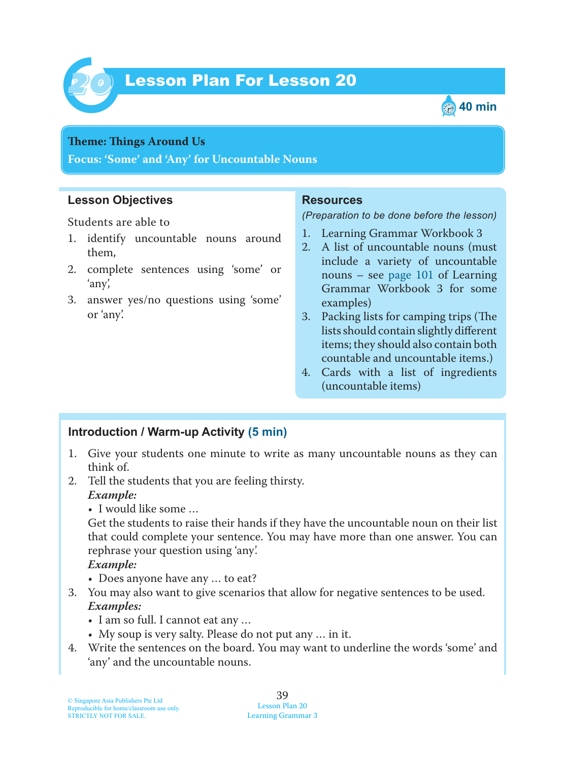



#### **Theme: Things Around Us**

**Focus: 'Some' and 'Any' for Uncountable Nouns**

## **Lesson Objectives**

Students are able to

- 1. identify uncountable nouns around them,
- 2. complete sentences using 'some' or 'any',
- 3. answer yes/no questions using 'some' or 'any'.

### **Resources**

*(Preparation to be done before the lesson)*

- 1. Learning Grammar Workbook 3
- 2. A list of uncountable nouns (must include a variety of uncountable nouns – see page 101 of Learning Grammar Workbook 3 for some examples)
- 3. Packing lists for camping trips (The lists should contain slightly different items; they should also contain both countable and uncountable items.)
- 4. Cards with a list of ingredients (uncountable items)

# **Introduction / Warm-up Activity (5 min)**

- 1. Give your students one minute to write as many uncountable nouns as they can think of.
- 2. Tell the students that you are feeling thirsty.  *Example:*
	- I would like some …

Get the students to raise their hands if they have the uncountable noun on their list that could complete your sentence. You may have more than one answer. You can rephrase your question using 'any'.

 *Example:*

- Does anyone have any … to eat?
- 3. You may also want to give scenarios that allow for negative sentences to be used.  *Examples:*
	- I am so full. I cannot eat any …
	- My soup is very salty. Please do not put any … in it.
- 4. Write the sentences on the board. You may want to underline the words 'some' and 'any' and the uncountable nouns.